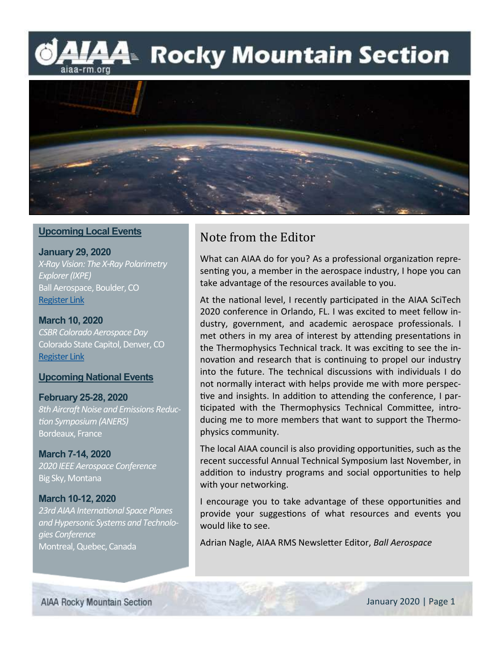### l⁄44 Rocky Mountain Section aiaa-rm.org



#### **Upcoming Local Events**

**January 29, 2020** *X-Ray Vision: The X-Ray Polarimetry Explorer (IXPE)* Ball Aerospace, Boulder, CO [Register Link](https://www.eventbrite.com/e/january-program-x-ray-vision-the-imaging-x-ray-polarimetry-explorer-tickets-89993415729)

**March 10, 2020** *CSBR Colorado Aerospace Day* Colorado State Capitol, Denver, CO [Register Link](https://www.coloradosbr.org/aerospace-day-at-the-colorado-state-capitol)

#### **Upcoming National Events**

**February 25-28, 2020** *8th Aircraft Noise and Emissions Reduction Symposium (ANERS)*

Bordeaux, France

**March 7-14, 2020** *2020 IEEE Aerospace Conference* Big Sky, Montana

**March 10-12, 2020** *23rd AIAA International Space Planes and Hypersonic Systems and Technologies Conference* Montreal, Quebec, Canada

### Note from the Editor

What can AIAA do for you? As a professional organization representing you, a member in the aerospace industry, I hope you can take advantage of the resources available to you.

At the national level, I recently participated in the AIAA SciTech 2020 conference in Orlando, FL. I was excited to meet fellow industry, government, and academic aerospace professionals. I met others in my area of interest by attending presentations in the Thermophysics Technical track. It was exciting to see the innovation and research that is continuing to propel our industry into the future. The technical discussions with individuals I do not normally interact with helps provide me with more perspective and insights. In addition to attending the conference, I participated with the Thermophysics Technical Committee, introducing me to more members that want to support the Thermophysics community.

The local AIAA council is also providing opportunities, such as the recent successful Annual Technical Symposium last November, in addition to industry programs and social opportunities to help with your networking.

I encourage you to take advantage of these opportunities and provide your suggestions of what resources and events you would like to see.

Adrian Nagle, AIAA RMS Newsletter Editor, *Ball Aerospace*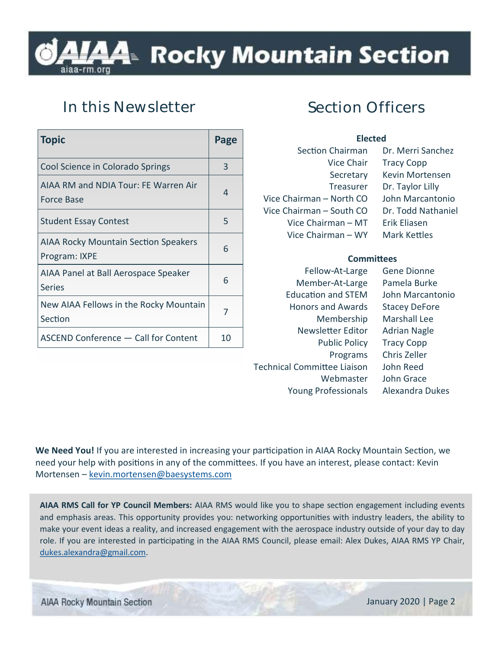## l⁄44 Rocky Mountain Section

### **In this Newsletter**

| <b>Topic</b>                                                 | Page |
|--------------------------------------------------------------|------|
| Cool Science in Colorado Springs                             | 3    |
| AIAA RM and NDIA Tour: FE Warren Air<br>Force Base           | 4    |
| <b>Student Essay Contest</b>                                 | 5    |
| <b>AIAA Rocky Mountain Section Speakers</b><br>Program: IXPE | 6    |
| AIAA Panel at Ball Aerospace Speaker<br><b>Series</b>        | 6    |
| New AIAA Fellows in the Rocky Mountain<br>Section            | 7    |
| ASCEND Conference - Call for Content                         | 10   |

### **Section Officers**

| <b>Elected</b>           |                     |
|--------------------------|---------------------|
| Section Chairman         | Dr. Merri Sanchez   |
| <b>Vice Chair</b>        | <b>Tracy Copp</b>   |
| Secretary                | Kevin Mortensen     |
| Treasurer                | Dr. Taylor Lilly    |
| Vice Chairman – North CO | John Marcantonio    |
| Vice Chairman – South CO | Dr. Todd Nathaniel  |
| Vice Chairman - MT       | Erik Eliasen        |
| Vice Chairman – WY       | <b>Mark Kettles</b> |
|                          |                     |

#### **Committees**

Fellow-At-Large Gene Dionne Member-At-Large Pamela Burke Education and STEM John Marcantonio Honors and Awards Stacey DeFore Membership Marshall Lee Newsletter Editor Adrian Nagle Public Policy Tracy Copp Programs Chris Zeller Technical Committee Liaison John Reed Webmaster John Grace Young Professionals Alexandra Dukes

**We Need You!** If you are interested in increasing your participation in AIAA Rocky Mountain Section, we need your help with positions in any of the committees. If you have an interest, please contact: Kevin Mortensen – [kevin.mortensen@baesystems.com](mailto:kevin.mortensen@baesystems.com)

**AIAA RMS Call for YP Council Members:** AIAA RMS would like you to shape section engagement including events and emphasis areas. This opportunity provides you: networking opportunities with industry leaders, the ability to make your event ideas a reality, and increased engagement with the aerospace industry outside of your day to day role. If you are interested in participating in the AIAA RMS Council, please email: Alex Dukes, AIAA RMS YP Chair, [dukes.alexandra@gmail.com.](mailto:dukes.alexandra@gmail.com)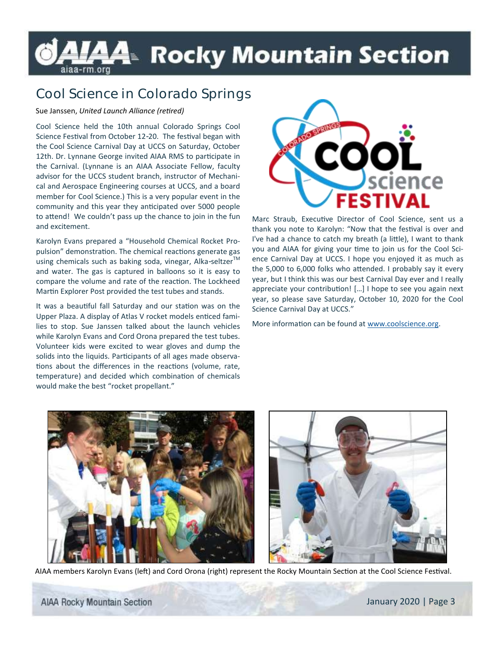## LAĄ≥ Rocky Mountain Section

### **Cool Science in Colorado Springs**

#### Sue Janssen, *United Launch Alliance (retired)*

Cool Science held the 10th annual Colorado Springs Cool Science Festival from October 12-20. The festival began with the Cool Science Carnival Day at UCCS on Saturday, October 12th. Dr. Lynnane George invited AIAA RMS to participate in the Carnival. (Lynnane is an AIAA Associate Fellow, faculty advisor for the UCCS student branch, instructor of Mechanical and Aerospace Engineering courses at UCCS, and a board member for Cool Science.) This is a very popular event in the community and this year they anticipated over 5000 people to attend! We couldn't pass up the chance to join in the fun and excitement.

Karolyn Evans prepared a "Household Chemical Rocket Propulsion" demonstration. The chemical reactions generate gas using chemicals such as baking soda, vinegar, Alka-seltzer<sup>TM</sup> and water. The gas is captured in balloons so it is easy to compare the volume and rate of the reaction. The Lockheed Martin Explorer Post provided the test tubes and stands.

It was a beautiful fall Saturday and our station was on the Upper Plaza. A display of Atlas V rocket models enticed families to stop. Sue Janssen talked about the launch vehicles while Karolyn Evans and Cord Orona prepared the test tubes. Volunteer kids were excited to wear gloves and dump the solids into the liquids. Participants of all ages made observations about the differences in the reactions (volume, rate, temperature) and decided which combination of chemicals would make the best "rocket propellant."



Marc Straub, Executive Director of Cool Science, sent us a thank you note to Karolyn: "Now that the festival is over and I've had a chance to catch my breath (a little), I want to thank you and AIAA for giving your time to join us for the Cool Science Carnival Day at UCCS. I hope you enjoyed it as much as the 5,000 to 6,000 folks who attended. I probably say it every year, but I think this was our best Carnival Day ever and I really appreciate your contribution! […] I hope to see you again next year, so please save Saturday, October 10, 2020 for the Cool Science Carnival Day at UCCS."

More information can be found at [www.coolscience.org.](http://www.coolscience.org)





AIAA members Karolyn Evans (left) and Cord Orona (right) represent the Rocky Mountain Section at the Cool Science Festival.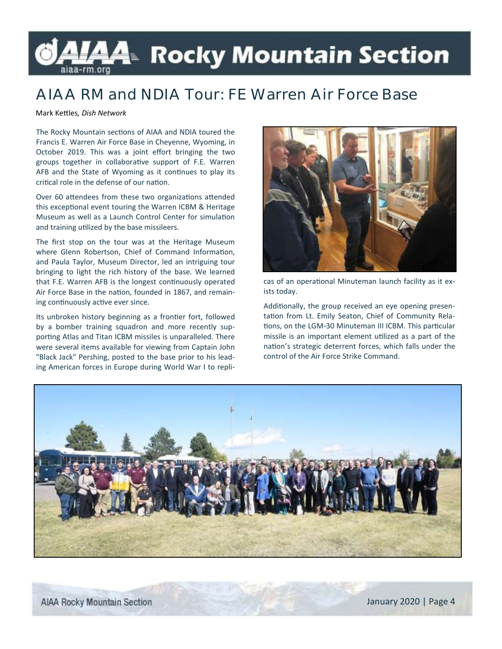# LAĄ≥ Rocky Mountain Section

### **AIAA RM and NDIA Tour: FE Warren Air Force Base**

Mark Kettles*, Dish Network*

The Rocky Mountain sections of AIAA and NDIA toured the Francis E. Warren Air Force Base in Cheyenne, Wyoming, in October 2019. This was a joint effort bringing the two groups together in collaborative support of F.E. Warren AFB and the State of Wyoming as it continues to play its critical role in the defense of our nation.

Over 60 attendees from these two organizations attended this exceptional event touring the Warren ICBM & Heritage Museum as well as a Launch Control Center for simulation and training utilized by the base missileers.

The first stop on the tour was at the Heritage Museum where Glenn Robertson, Chief of Command Information, and Paula Taylor, Museum Director, led an intriguing tour bringing to light the rich history of the base. We learned that F.E. Warren AFB is the longest continuously operated Air Force Base in the nation, founded in 1867, and remaining continuously active ever since.

Its unbroken history beginning as a frontier fort, followed by a bomber training squadron and more recently supporting Atlas and Titan ICBM missiles is unparalleled. There were several items available for viewing from Captain John "Black Jack" Pershing, posted to the base prior to his leading American forces in Europe during World War I to repli-



cas of an operational Minuteman launch facility as it exists today.

Additionally, the group received an eye opening presentation from Lt. Emily Seaton, Chief of Community Relations, on the LGM-30 Minuteman III ICBM. This particular missile is an important element utilized as a part of the nation's strategic deterrent forces, which falls under the control of the Air Force Strike Command.

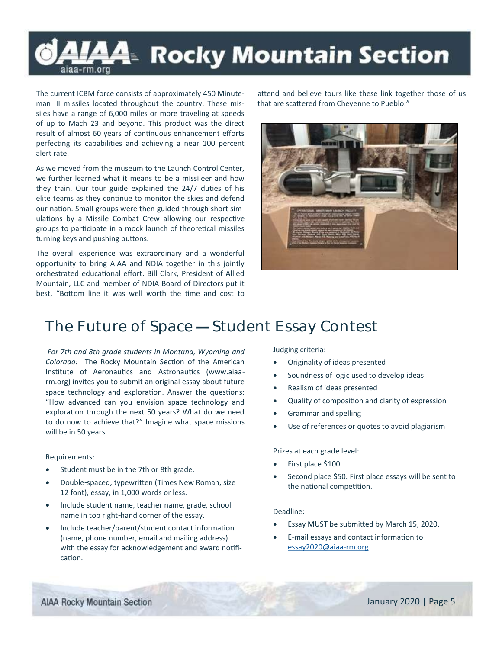### L⁄44 Rocky Mountain Section aiaa-rm.orq

The current ICBM force consists of approximately 450 Minuteman III missiles located throughout the country. These missiles have a range of 6,000 miles or more traveling at speeds of up to Mach 23 and beyond. This product was the direct result of almost 60 years of continuous enhancement efforts perfecting its capabilities and achieving a near 100 percent alert rate.

As we moved from the museum to the Launch Control Center, we further learned what it means to be a missileer and how they train. Our tour guide explained the 24/7 duties of his elite teams as they continue to monitor the skies and defend our nation. Small groups were then guided through short simulations by a Missile Combat Crew allowing our respective groups to participate in a mock launch of theoretical missiles turning keys and pushing buttons.

The overall experience was extraordinary and a wonderful opportunity to bring AIAA and NDIA together in this jointly orchestrated educational effort. Bill Clark, President of Allied Mountain, LLC and member of NDIA Board of Directors put it best, "Bottom line it was well worth the time and cost to

attend and believe tours like these link together those of us that are scattered from Cheyenne to Pueblo."



### **The Future of Space — Student Essay Contest**

*For 7th and 8th grade students in Montana, Wyoming and Colorado:* The Rocky Mountain Section of the American Institute of Aeronautics and Astronautics (www.aiaarm.org) invites you to submit an original essay about future space technology and exploration. Answer the questions: "How advanced can you envision space technology and exploration through the next 50 years? What do we need to do now to achieve that?" Imagine what space missions will be in 50 years.

#### Requirements:

- Student must be in the 7th or 8th grade.
- Double-spaced, typewritten (Times New Roman, size 12 font), essay, in 1,000 words or less.
- Include student name, teacher name, grade, school name in top right-hand corner of the essay.
- Include teacher/parent/student contact information (name, phone number, email and mailing address) with the essay for acknowledgement and award notification.

Judging criteria:

- Originality of ideas presented
- Soundness of logic used to develop ideas
- Realism of ideas presented
- Quality of composition and clarity of expression
- Grammar and spelling
- Use of references or quotes to avoid plagiarism

Prizes at each grade level:

- First place \$100.
- Second place \$50. First place essays will be sent to the national competition.

#### Deadline:

- Essay MUST be submitted by March 15, 2020.
- E-mail essays and contact information to [essay2020@aiaa-rm.org](mailto:essay2020@aiaa-rm.org)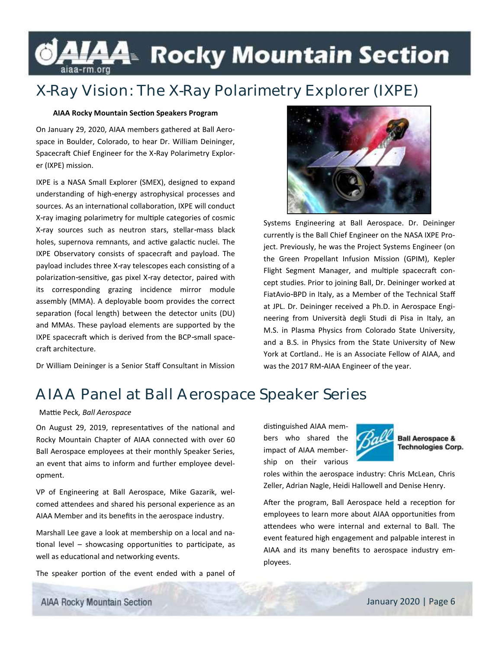### LAA Rocky Mountain Section aiaa-rm.org

### **X-Ray Vision: The X-Ray Polarimetry Explorer (IXPE)**

#### **AIAA Rocky Mountain Section Speakers Program**

On January 29, 2020, AIAA members gathered at Ball Aerospace in Boulder, Colorado, to hear Dr. William Deininger, Spacecraft Chief Engineer for the X-Ray Polarimetry Explorer (IXPE) mission.

IXPE is a NASA Small Explorer (SMEX), designed to expand understanding of high-energy astrophysical processes and sources. As an international collaboration, IXPE will conduct X-ray imaging polarimetry for multiple categories of cosmic X-ray sources such as neutron stars, stellar-mass black holes, supernova remnants, and active galactic nuclei. The IXPE Observatory consists of spacecraft and payload. The payload includes three X-ray telescopes each consisting of a polarization-sensitive, gas pixel X-ray detector, paired with its corresponding grazing incidence mirror module assembly (MMA). A deployable boom provides the correct separation (focal length) between the detector units (DU) and MMAs. These payload elements are supported by the IXPE spacecraft which is derived from the BCP-small spacecraft architecture.

Dr William Deininger is a Senior Staff Consultant in Mission



Systems Engineering at Ball Aerospace. Dr. Deininger currently is the Ball Chief Engineer on the NASA IXPE Project. Previously, he was the Project Systems Engineer (on the Green Propellant Infusion Mission (GPIM), Kepler Flight Segment Manager, and multiple spacecraft concept studies. Prior to joining Ball, Dr. Deininger worked at FiatAvio-BPD in Italy, as a Member of the Technical Staff at JPL. Dr. Deininger received a Ph.D. in Aerospace Engineering from Università degli Studi di Pisa in Italy, an M.S. in Plasma Physics from Colorado State University, and a B.S. in Physics from the State University of New York at Cortland.. He is an Associate Fellow of AIAA, and was the 2017 RM-AIAA Engineer of the year.

### **AIAA Panel at Ball Aerospace Speaker Series**

#### Mattie Peck*, Ball Aerospace*

On August 29, 2019, representatives of the national and Rocky Mountain Chapter of AIAA connected with over 60 Ball Aerospace employees at their monthly Speaker Series, an event that aims to inform and further employee development.

VP of Engineering at Ball Aerospace, Mike Gazarik, welcomed attendees and shared his personal experience as an AIAA Member and its benefits in the aerospace industry.

Marshall Lee gave a look at membership on a local and national level – showcasing opportunities to participate, as well as educational and networking events.

The speaker portion of the event ended with a panel of

distinguished AIAA members who shared the impact of AIAA membership on their various



**Ball Aerospace & Technologies Corp.** 

roles within the aerospace industry: Chris McLean, Chris Zeller, Adrian Nagle, Heidi Hallowell and Denise Henry.

After the program, Ball Aerospace held a reception for employees to learn more about AIAA opportunities from attendees who were internal and external to Ball. The event featured high engagement and palpable interest in AIAA and its many benefits to aerospace industry employees.

**AIAA Rocky Mountain Section**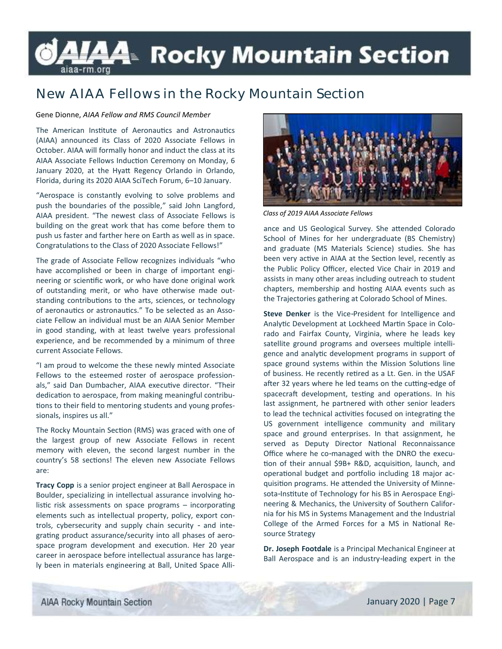### LAA⊧ Rocky Mountain Section aiaa-rm.org

### **New AIAA Fellows in the Rocky Mountain Section**

#### Gene Dionne, *AIAA Fellow and RMS Council Member*

The American Institute of Aeronautics and Astronautics (AIAA) announced its Class of 2020 Associate Fellows in October. AIAA will formally honor and induct the class at its AIAA Associate Fellows Induction Ceremony on Monday, 6 January 2020, at the Hyatt Regency Orlando in Orlando, Florida, during its 2020 AIAA SciTech Forum, 6–10 January.

"Aerospace is constantly evolving to solve problems and push the boundaries of the possible," said John Langford, AIAA president. "The newest class of Associate Fellows is building on the great work that has come before them to push us faster and farther here on Earth as well as in space. Congratulations to the Class of 2020 Associate Fellows!"

The grade of Associate Fellow recognizes individuals "who have accomplished or been in charge of important engineering or scientific work, or who have done original work of outstanding merit, or who have otherwise made outstanding contributions to the arts, sciences, or technology of aeronautics or astronautics." To be selected as an Associate Fellow an individual must be an AIAA Senior Member in good standing, with at least twelve years professional experience, and be recommended by a minimum of three current Associate Fellows.

"I am proud to welcome the these newly minted Associate Fellows to the esteemed roster of aerospace professionals," said Dan Dumbacher, AIAA executive director. "Their dedication to aerospace, from making meaningful contributions to their field to mentoring students and young professionals, inspires us all."

The Rocky Mountain Section (RMS) was graced with one of the largest group of new Associate Fellows in recent memory with eleven, the second largest number in the country's 58 sections! The eleven new Associate Fellows are:

**Tracy Copp** is a senior project engineer at Ball Aerospace in Boulder, specializing in intellectual assurance involving holistic risk assessments on space programs – incorporating elements such as intellectual property, policy, export controls, cybersecurity and supply chain security - and integrating product assurance/security into all phases of aerospace program development and execution. Her 20 year career in aerospace before intellectual assurance has largely been in materials engineering at Ball, United Space Alli-



*Class of 2019 AIAA Associate Fellows* 

ance and US Geological Survey. She attended Colorado School of Mines for her undergraduate (BS Chemistry) and graduate (MS Materials Science) studies. She has been very active in AIAA at the Section level, recently as the Public Policy Officer, elected Vice Chair in 2019 and assists in many other areas including outreach to student chapters, membership and hosting AIAA events such as the Trajectories gathering at Colorado School of Mines.

**Steve Denker** is the Vice-President for Intelligence and Analytic Development at Lockheed Martin Space in Colorado and Fairfax County, Virginia, where he leads key satellite ground programs and oversees multiple intelligence and analytic development programs in support of space ground systems within the Mission Solutions line of business. He recently retired as a Lt. Gen. in the USAF after 32 years where he led teams on the cutting-edge of spacecraft development, testing and operations. In his last assignment, he partnered with other senior leaders to lead the technical activities focused on integrating the US government intelligence community and military space and ground enterprises. In that assignment, he served as Deputy Director National Reconnaissance Office where he co-managed with the DNRO the execution of their annual \$9B+ R&D, acquisition, launch, and operational budget and portfolio including 18 major acquisition programs. He attended the University of Minnesota-Institute of Technology for his BS in Aerospace Engineering & Mechanics, the University of Southern California for his MS in Systems Management and the Industrial College of the Armed Forces for a MS in National Resource Strategy

**Dr. Joseph Footdale** is a Principal Mechanical Engineer at Ball Aerospace and is an industry-leading expert in the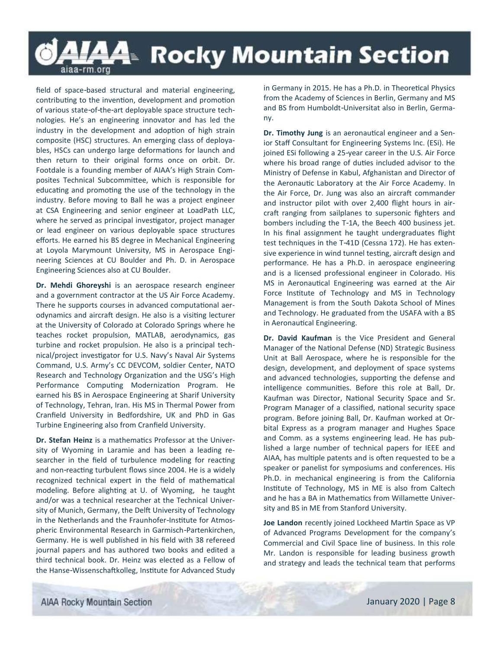### LAA⊧ Rocky Mountain Section aiaa-rm.org

field of space-based structural and material engineering, contributing to the invention, development and promotion of various state-of-the-art deployable space structure technologies. He's an engineering innovator and has led the industry in the development and adoption of high strain composite (HSC) structures. An emerging class of deployables, HSCs can undergo large deformations for launch and then return to their original forms once on orbit. Dr. Footdale is a founding member of AIAA's High Strain Composites Technical Subcommittee, which is responsible for educating and promoting the use of the technology in the industry. Before moving to Ball he was a project engineer at CSA Engineering and senior engineer at LoadPath LLC, where he served as principal investigator, project manager or lead engineer on various deployable space structures efforts. He earned his BS degree in Mechanical Engineering at Loyola Marymount University, MS in Aerospace Engineering Sciences at CU Boulder and Ph. D. in Aerospace Engineering Sciences also at CU Boulder.

**Dr. Mehdi Ghoreyshi** is an aerospace research engineer and a government contractor at the US Air Force Academy. There he supports courses in advanced computational aerodynamics and aircraft design. He also is a visiting lecturer at the University of Colorado at Colorado Springs where he teaches rocket propulsion, MATLAB, aerodynamics, gas turbine and rocket propulsion. He also is a principal technical/project investigator for U.S. Navy's Naval Air Systems Command, U.S. Army's CC DEVCOM, soldier Center, NATO Research and Technology Organization and the USG's High Performance Computing Modernization Program. He earned his BS in Aerospace Engineering at Sharif University of Technology, Tehran, Iran. His MS in Thermal Power from Cranfield University in Bedfordshire, UK and PhD in Gas Turbine Engineering also from Cranfield University.

**Dr. Stefan Heinz** is a mathematics Professor at the University of Wyoming in Laramie and has been a leading researcher in the field of turbulence modeling for reacting and non-reacting turbulent flows since 2004. He is a widely recognized technical expert in the field of mathematical modeling. Before alighting at U. of Wyoming, he taught and/or was a technical researcher at the Technical University of Munich, Germany, the Delft University of Technology in the Netherlands and the Fraunhofer-Institute for Atmospheric Environmental Research in Garmisch-Partenkirchen, Germany. He is well published in his field with 38 refereed journal papers and has authored two books and edited a third technical book. Dr. Heinz was elected as a Fellow of the Hanse-Wissenschaftkolleg, Institute for Advanced Study in Germany in 2015. He has a Ph.D. in Theoretical Physics from the Academy of Sciences in Berlin, Germany and MS and BS from Humboldt-Universitat also in Berlin, Germany.

**Dr. Timothy Jung** is an aeronautical engineer and a Senior Staff Consultant for Engineering Systems Inc. (ESi). He joined ESi following a 25-year career in the U.S. Air Force where his broad range of duties included advisor to the Ministry of Defense in Kabul, Afghanistan and Director of the Aeronautic Laboratory at the Air Force Academy. In the Air Force, Dr. Jung was also an aircraft commander and instructor pilot with over 2,400 flight hours in aircraft ranging from sailplanes to supersonic fighters and bombers including the T-1A, the Beech 400 business jet. In his final assignment he taught undergraduates flight test techniques in the T-41D (Cessna 172). He has extensive experience in wind tunnel testing, aircraft design and performance. He has a Ph.D. in aerospace engineering and is a licensed professional engineer in Colorado. His MS in Aeronautical Engineering was earned at the Air Force Institute of Technology and MS in Technology Management is from the South Dakota School of Mines and Technology. He graduated from the USAFA with a BS in Aeronautical Engineering.

**Dr. David Kaufman** is the Vice President and General Manager of the National Defense (ND) Strategic Business Unit at Ball Aerospace, where he is responsible for the design, development, and deployment of space systems and advanced technologies, supporting the defense and intelligence communities. Before this role at Ball, Dr. Kaufman was Director, National Security Space and Sr. Program Manager of a classified, national security space program. Before joining Ball, Dr. Kaufman worked at Orbital Express as a program manager and Hughes Space and Comm. as a systems engineering lead. He has published a large number of technical papers for IEEE and AIAA, has multiple patents and is often requested to be a speaker or panelist for symposiums and conferences. His Ph.D. in mechanical engineering is from the California Institute of Technology, MS in ME is also from Caltech and he has a BA in Mathematics from Willamette University and BS in ME from Stanford University.

**Joe Landon** recently joined Lockheed Martin Space as VP of Advanced Programs Development for the company's Commercial and Civil Space line of business. In this role Mr. Landon is responsible for leading business growth and strategy and leads the technical team that performs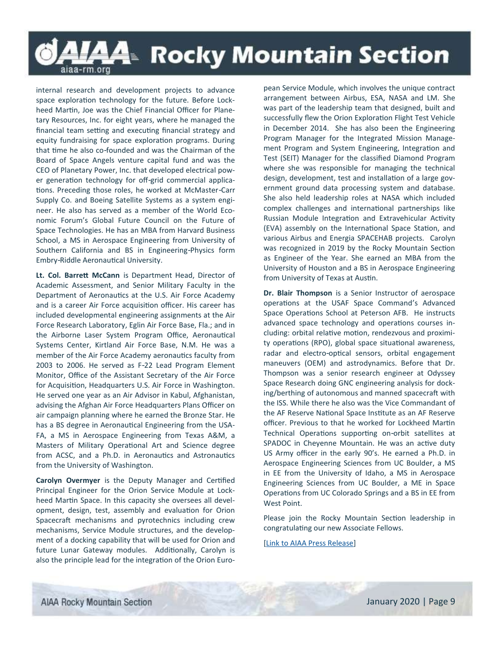### LAA- Rocky Mountain Section aiaa-rm.org

internal research and development projects to advance space exploration technology for the future. Before Lockheed Martin, Joe was the Chief Financial Officer for Planetary Resources, Inc. for eight years, where he managed the financial team setting and executing financial strategy and equity fundraising for space exploration programs. During that time he also co-founded and was the Chairman of the Board of Space Angels venture capital fund and was the CEO of Planetary Power, Inc. that developed electrical power generation technology for off-grid commercial applications. Preceding those roles, he worked at McMaster-Carr Supply Co. and Boeing Satellite Systems as a system engineer. He also has served as a member of the World Economic Forum's Global Future Council on the Future of Space Technologies. He has an MBA from Harvard Business School, a MS in Aerospace Engineering from University of Southern California and BS in Engineering-Physics form Embry-Riddle Aeronautical University.

**Lt. Col. Barrett McCann** is Department Head, Director of Academic Assessment, and Senior Military Faculty in the Department of Aeronautics at the U.S. Air Force Academy and is a career Air Force acquisition officer. His career has included developmental engineering assignments at the Air Force Research Laboratory, Eglin Air Force Base, Fla.; and in the Airborne Laser System Program Office, Aeronautical Systems Center, Kirtland Air Force Base, N.M. He was a member of the Air Force Academy aeronautics faculty from 2003 to 2006. He served as F-22 Lead Program Element Monitor, Office of the Assistant Secretary of the Air Force for Acquisition, Headquarters U.S. Air Force in Washington. He served one year as an Air Advisor in Kabul, Afghanistan, advising the Afghan Air Force Headquarters Plans Officer on air campaign planning where he earned the Bronze Star. He has a BS degree in Aeronautical Engineering from the USA-FA, a MS in Aerospace Engineering from Texas A&M, a Masters of Military Operational Art and Science degree from ACSC, and a Ph.D. in Aeronautics and Astronautics from the University of Washington.

**Carolyn Overmyer** is the Deputy Manager and Certified Principal Engineer for the Orion Service Module at Lockheed Martin Space. In this capacity she oversees all development, design, test, assembly and evaluation for Orion Spacecraft mechanisms and pyrotechnics including crew mechanisms, Service Module structures, and the development of a docking capability that will be used for Orion and future Lunar Gateway modules. Additionally, Carolyn is also the principle lead for the integration of the Orion European Service Module, which involves the unique contract arrangement between Airbus, ESA, NASA and LM. She was part of the leadership team that designed, built and successfully flew the Orion Exploration Flight Test Vehicle in December 2014. She has also been the Engineering Program Manager for the Integrated Mission Management Program and System Engineering, Integration and Test (SEIT) Manager for the classified Diamond Program where she was responsible for managing the technical design, development, test and installation of a large government ground data processing system and database. She also held leadership roles at NASA which included complex challenges and international partnerships like Russian Module Integration and Extravehicular Activity (EVA) assembly on the International Space Station, and various Airbus and Energia SPACEHAB projects. Carolyn was recognized in 2019 by the Rocky Mountain Section as Engineer of the Year. She earned an MBA from the University of Houston and a BS in Aerospace Engineering from University of Texas at Austin.

**Dr. Blair Thompson** is a Senior Instructor of aerospace operations at the USAF Space Command's Advanced Space Operations School at Peterson AFB. He instructs advanced space technology and operations courses including: orbital relative motion, rendezvous and proximity operations (RPO), global space situational awareness, radar and electro-optical sensors, orbital engagement maneuvers (OEM) and astrodynamics. Before that Dr. Thompson was a senior research engineer at Odyssey Space Research doing GNC engineering analysis for docking/berthing of autonomous and manned spacecraft with the ISS. While there he also was the Vice Commandant of the AF Reserve National Space Institute as an AF Reserve officer. Previous to that he worked for Lockheed Martin Technical Operations supporting on-orbit satellites at SPADOC in Cheyenne Mountain. He was an active duty US Army officer in the early 90's. He earned a Ph.D. in Aerospace Engineering Sciences from UC Boulder, a MS in EE from the University of Idaho, a MS in Aerospace Engineering Sciences from UC Boulder, a ME in Space Operations from UC Colorado Springs and a BS in EE from West Point.

Please join the Rocky Mountain Section leadership in congratulating our new Associate Fellows.

#### [[Link to AIAA Press Release\]](https://www.aiaa.org/news/news/2019/10/01/aiaa-announces-class-of-2020-associate-fellows)